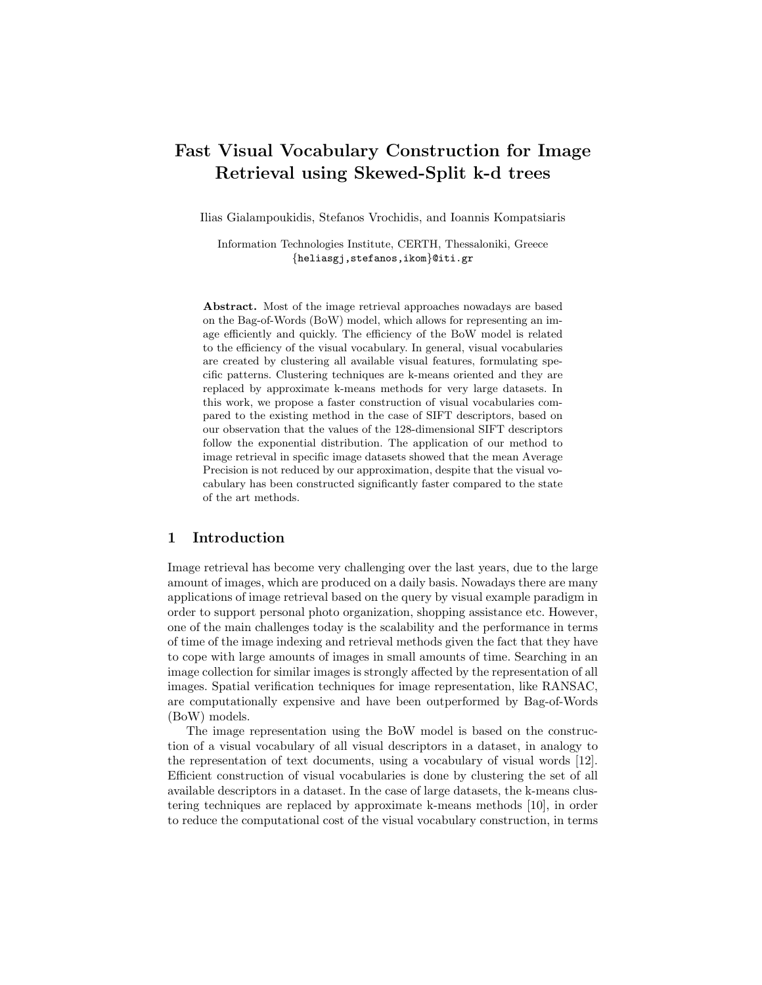# Fast Visual Vocabulary Construction for Image Retrieval using Skewed-Split k-d trees

Ilias Gialampoukidis, Stefanos Vrochidis, and Ioannis Kompatsiaris

Information Technologies Institute, CERTH, Thessaloniki, Greece {heliasgj,stefanos,ikom}@iti.gr

Abstract. Most of the image retrieval approaches nowadays are based on the Bag-of-Words (BoW) model, which allows for representing an image efficiently and quickly. The efficiency of the BoW model is related to the efficiency of the visual vocabulary. In general, visual vocabularies are created by clustering all available visual features, formulating specific patterns. Clustering techniques are k-means oriented and they are replaced by approximate k-means methods for very large datasets. In this work, we propose a faster construction of visual vocabularies compared to the existing method in the case of SIFT descriptors, based on our observation that the values of the 128-dimensional SIFT descriptors follow the exponential distribution. The application of our method to image retrieval in specific image datasets showed that the mean Average Precision is not reduced by our approximation, despite that the visual vocabulary has been constructed significantly faster compared to the state of the art methods.

### 1 Introduction

Image retrieval has become very challenging over the last years, due to the large amount of images, which are produced on a daily basis. Nowadays there are many applications of image retrieval based on the query by visual example paradigm in order to support personal photo organization, shopping assistance etc. However, one of the main challenges today is the scalability and the performance in terms of time of the image indexing and retrieval methods given the fact that they have to cope with large amounts of images in small amounts of time. Searching in an image collection for similar images is strongly affected by the representation of all images. Spatial verification techniques for image representation, like RANSAC, are computationally expensive and have been outperformed by Bag-of-Words (BoW) models.

The image representation using the BoW model is based on the construction of a visual vocabulary of all visual descriptors in a dataset, in analogy to the representation of text documents, using a vocabulary of visual words [12]. Efficient construction of visual vocabularies is done by clustering the set of all available descriptors in a dataset. In the case of large datasets, the k-means clustering techniques are replaced by approximate k-means methods [10], in order to reduce the computational cost of the visual vocabulary construction, in terms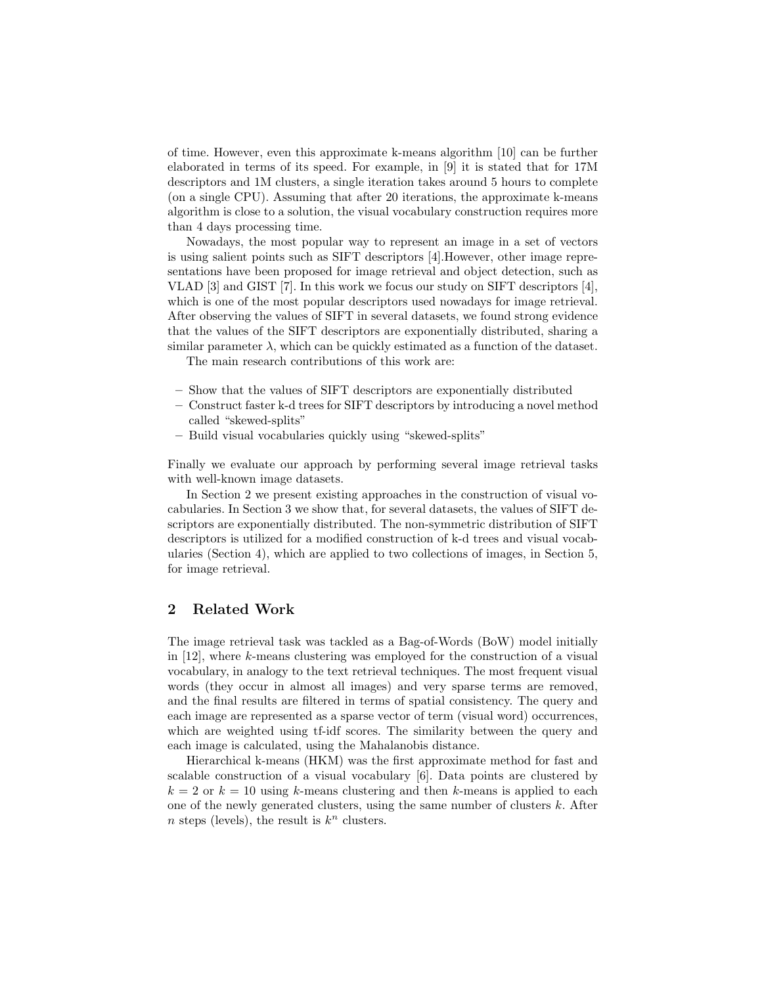of time. However, even this approximate k-means algorithm [10] can be further elaborated in terms of its speed. For example, in [9] it is stated that for 17M descriptors and 1M clusters, a single iteration takes around 5 hours to complete (on a single CPU). Assuming that after 20 iterations, the approximate k-means algorithm is close to a solution, the visual vocabulary construction requires more than 4 days processing time.

Nowadays, the most popular way to represent an image in a set of vectors is using salient points such as SIFT descriptors [4].However, other image representations have been proposed for image retrieval and object detection, such as VLAD [3] and GIST [7]. In this work we focus our study on SIFT descriptors [4], which is one of the most popular descriptors used nowadays for image retrieval. After observing the values of SIFT in several datasets, we found strong evidence that the values of the SIFT descriptors are exponentially distributed, sharing a similar parameter  $\lambda$ , which can be quickly estimated as a function of the dataset.

The main research contributions of this work are:

- Show that the values of SIFT descriptors are exponentially distributed
- Construct faster k-d trees for SIFT descriptors by introducing a novel method called "skewed-splits"
- Build visual vocabularies quickly using "skewed-splits"

Finally we evaluate our approach by performing several image retrieval tasks with well-known image datasets.

In Section 2 we present existing approaches in the construction of visual vocabularies. In Section 3 we show that, for several datasets, the values of SIFT descriptors are exponentially distributed. The non-symmetric distribution of SIFT descriptors is utilized for a modified construction of k-d trees and visual vocabularies (Section 4), which are applied to two collections of images, in Section 5, for image retrieval.

# 2 Related Work

The image retrieval task was tackled as a Bag-of-Words (BoW) model initially in [12], where k-means clustering was employed for the construction of a visual vocabulary, in analogy to the text retrieval techniques. The most frequent visual words (they occur in almost all images) and very sparse terms are removed, and the final results are filtered in terms of spatial consistency. The query and each image are represented as a sparse vector of term (visual word) occurrences, which are weighted using tf-idf scores. The similarity between the query and each image is calculated, using the Mahalanobis distance.

Hierarchical k-means (HKM) was the first approximate method for fast and scalable construction of a visual vocabulary [6]. Data points are clustered by  $k = 2$  or  $k = 10$  using k-means clustering and then k-means is applied to each one of the newly generated clusters, using the same number of clusters  $k$ . After *n* steps (levels), the result is  $k^n$  clusters.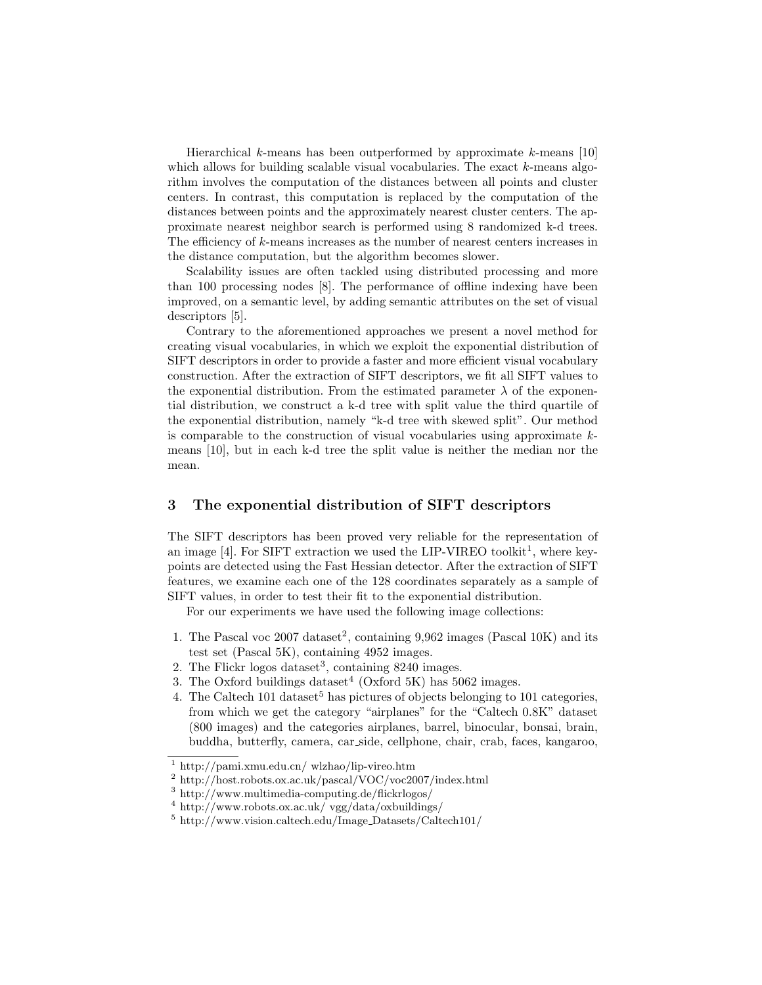Hierarchical k-means has been outperformed by approximate k-means  $[10]$ which allows for building scalable visual vocabularies. The exact  $k$ -means algorithm involves the computation of the distances between all points and cluster centers. In contrast, this computation is replaced by the computation of the distances between points and the approximately nearest cluster centers. The approximate nearest neighbor search is performed using 8 randomized k-d trees. The efficiency of k-means increases as the number of nearest centers increases in the distance computation, but the algorithm becomes slower.

Scalability issues are often tackled using distributed processing and more than 100 processing nodes [8]. The performance of offline indexing have been improved, on a semantic level, by adding semantic attributes on the set of visual descriptors [5].

Contrary to the aforementioned approaches we present a novel method for creating visual vocabularies, in which we exploit the exponential distribution of SIFT descriptors in order to provide a faster and more efficient visual vocabulary construction. After the extraction of SIFT descriptors, we fit all SIFT values to the exponential distribution. From the estimated parameter  $\lambda$  of the exponential distribution, we construct a k-d tree with split value the third quartile of the exponential distribution, namely "k-d tree with skewed split". Our method is comparable to the construction of visual vocabularies using approximate kmeans [10], but in each k-d tree the split value is neither the median nor the mean.

## 3 The exponential distribution of SIFT descriptors

The SIFT descriptors has been proved very reliable for the representation of an image  $[4]$ . For SIFT extraction we used the LIP-VIREO toolkit<sup>1</sup>, where keypoints are detected using the Fast Hessian detector. After the extraction of SIFT features, we examine each one of the 128 coordinates separately as a sample of SIFT values, in order to test their fit to the exponential distribution.

For our experiments we have used the following image collections:

- 1. The Pascal voc  $2007$  dataset<sup>2</sup>, containing  $9,962$  images (Pascal 10K) and its test set (Pascal 5K), containing 4952 images.
- 2. The Flickr logos dataset<sup>3</sup>, containing  $8240$  images.
- 3. The Oxford buildings dataset<sup>4</sup> (Oxford 5K) has  $5062$  images.
- 4. The Caltech  $101$  dataset<sup>5</sup> has pictures of objects belonging to  $101$  categories, from which we get the category "airplanes" for the "Caltech 0.8K" dataset (800 images) and the categories airplanes, barrel, binocular, bonsai, brain, buddha, butterfly, camera, car side, cellphone, chair, crab, faces, kangaroo,

<sup>&</sup>lt;sup>1</sup> http://pami.xmu.edu.cn/ wlzhao/lip-vireo.htm

<sup>2</sup> http://host.robots.ox.ac.uk/pascal/VOC/voc2007/index.html

<sup>3</sup> http://www.multimedia-computing.de/flickrlogos/

<sup>4</sup> http://www.robots.ox.ac.uk/ vgg/data/oxbuildings/

<sup>5</sup> http://www.vision.caltech.edu/Image Datasets/Caltech101/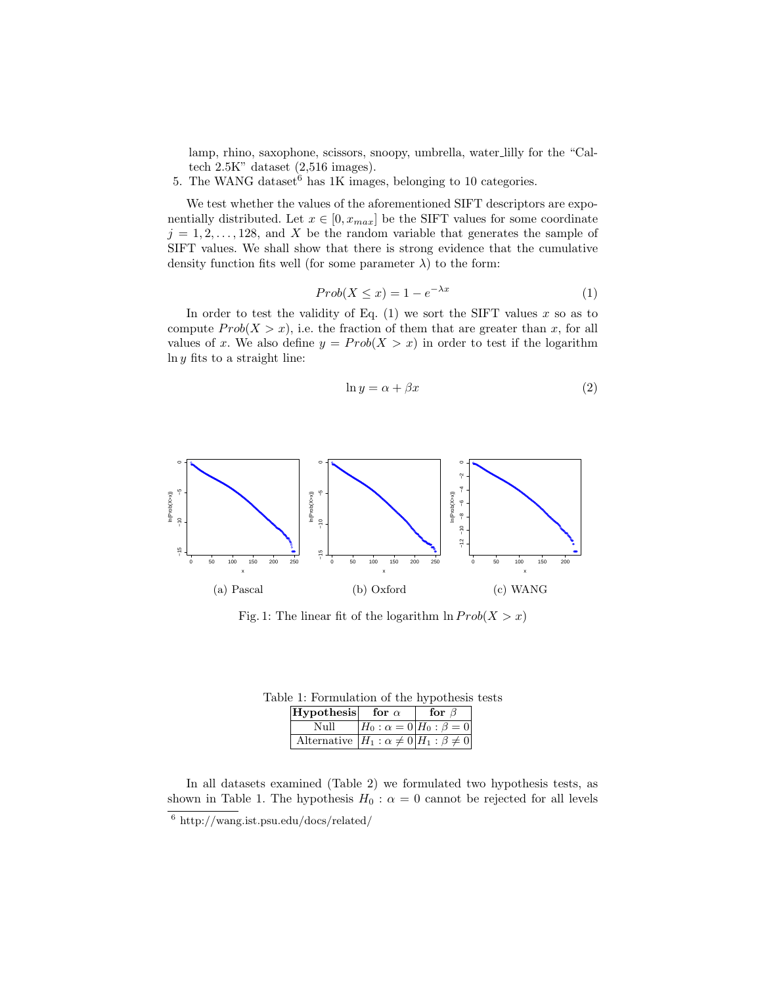lamp, rhino, saxophone, scissors, snoopy, umbrella, water lilly for the "Caltech 2.5K" dataset (2,516 images).

5. The WANG dataset  $6$  has 1K images, belonging to 10 categories.

We test whether the values of the aforementioned SIFT descriptors are exponentially distributed. Let  $x \in [0, x_{max}]$  be the SIFT values for some coordinate  $j = 1, 2, \ldots, 128$ , and X be the random variable that generates the sample of SIFT values. We shall show that there is strong evidence that the cumulative density function fits well (for some parameter  $\lambda$ ) to the form:

$$
Prob(X \le x) = 1 - e^{-\lambda x} \tag{1}
$$

In order to test the validity of Eq.  $(1)$  we sort the SIFT values x so as to compute  $Prob(X > x)$ , i.e. the fraction of them that are greater than x, for all values of x. We also define  $y = Prob(X > x)$  in order to test if the logarithm  $\ln y$  fits to a straight line:

$$
\ln y = \alpha + \beta x \tag{2}
$$



Fig. 1: The linear fit of the logarithm  $\ln Prob(X > x)$ 

| $\mu$ and $\mu$ . Formulation of the hypothesis to |                                                                     |  |                                    |  |  |  |
|----------------------------------------------------|---------------------------------------------------------------------|--|------------------------------------|--|--|--|
|                                                    | Hypothesis for $\alpha$                                             |  | for $\beta$                        |  |  |  |
|                                                    | Null                                                                |  | $H_0: \alpha = 0$ $H_0: \beta = 0$ |  |  |  |
|                                                    | Alternative $ \overline{H_1 : \alpha \neq 0   H_1 : \beta \neq 0} $ |  |                                    |  |  |  |

Table 1: Formulation of the hypothesis tests

In all datasets examined (Table 2) we formulated two hypothesis tests, as shown in Table 1. The hypothesis  $H_0$ :  $\alpha = 0$  cannot be rejected for all levels

 $\frac{6 \text{ http://wang.ist.psu.edu/docs/related/}}{6 \text{ http://wang.ist.psu.edu/docs/related/}}$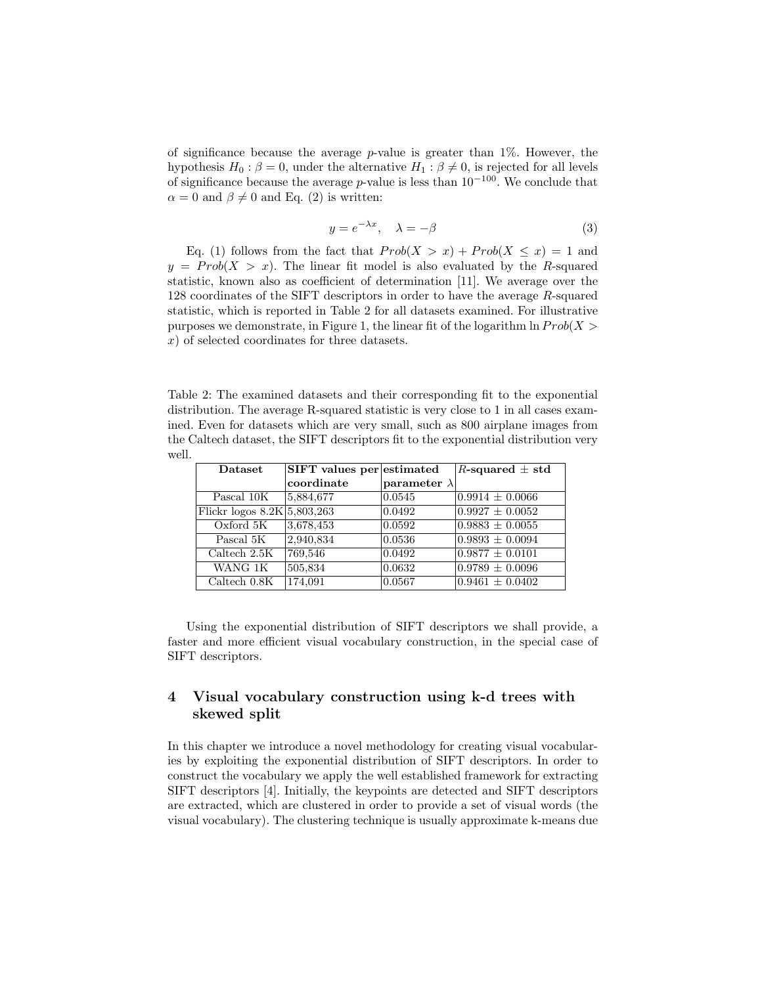of significance because the average  $p$ -value is greater than 1%. However, the hypothesis  $H_0$ :  $\beta = 0$ , under the alternative  $H_1$ :  $\beta \neq 0$ , is rejected for all levels of significance because the average  $p$ -value is less than  $10^{-100}$ . We conclude that  $\alpha = 0$  and  $\beta \neq 0$  and Eq. (2) is written:

$$
y = e^{-\lambda x}, \quad \lambda = -\beta \tag{3}
$$

Eq. (1) follows from the fact that  $Prob(X > x) + Prob(X \leq x) = 1$  and  $y = Prob(X > x)$ . The linear fit model is also evaluated by the R-squared statistic, known also as coefficient of determination [11]. We average over the 128 coordinates of the SIFT descriptors in order to have the average R-squared statistic, which is reported in Table 2 for all datasets examined. For illustrative purposes we demonstrate, in Figure 1, the linear fit of the logarithm  $\ln Prob(X >$ x) of selected coordinates for three datasets.

Table 2: The examined datasets and their corresponding fit to the exponential distribution. The average R-squared statistic is very close to 1 in all cases examined. Even for datasets which are very small, such as 800 airplane images from the Caltech dataset, the SIFT descriptors fit to the exponential distribution very well.

| Dataset                                  | SIFT values per estimated |                              | $R$ -squared $\pm$ std |
|------------------------------------------|---------------------------|------------------------------|------------------------|
|                                          | coordinate                | $\alpha$ parameter $\lambda$ |                        |
| Pascal 10K                               | 5,884,677                 | 0.0545                       | $0.9914 \pm 0.0066$    |
| Flickr logos $8.\overline{2K}$ 5,803,263 |                           | 0.0492                       | $0.9927 \pm 0.0052$    |
| Oxford 5K                                | 3,678,453                 | $ 0.0592\rangle$             | $0.9883 \pm 0.0055$    |
| Pascal 5K                                | 2,940,834                 | 0.0536                       | $0.9893 \pm 0.0094$    |
| Caltech $2.5K$                           | 769,546                   | 0.0492                       | $0.9877 \pm 0.0101$    |
| WANG 1K                                  | 505,834                   | 0.0632                       | $0.9789 \pm 0.0096$    |
| Caltech 0.8K                             | 174,091                   | 0.0567                       | $0.9461 \pm 0.0402$    |

Using the exponential distribution of SIFT descriptors we shall provide, a faster and more efficient visual vocabulary construction, in the special case of SIFT descriptors.

# 4 Visual vocabulary construction using k-d trees with skewed split

In this chapter we introduce a novel methodology for creating visual vocabularies by exploiting the exponential distribution of SIFT descriptors. In order to construct the vocabulary we apply the well established framework for extracting SIFT descriptors [4]. Initially, the keypoints are detected and SIFT descriptors are extracted, which are clustered in order to provide a set of visual words (the visual vocabulary). The clustering technique is usually approximate k-means due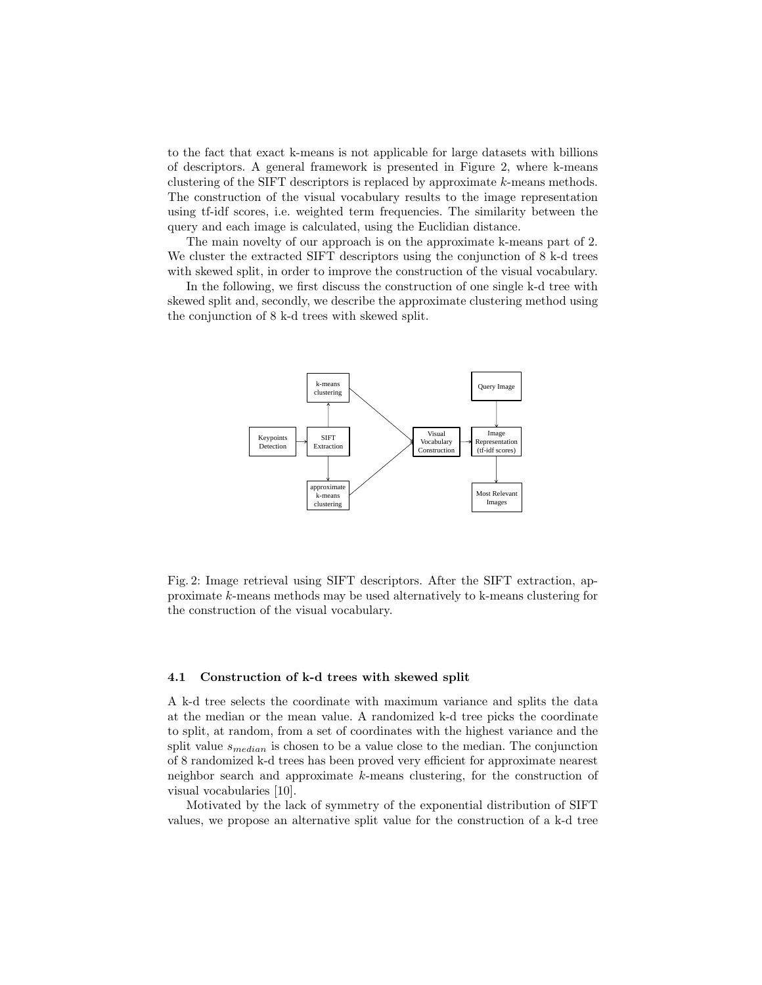to the fact that exact k-means is not applicable for large datasets with billions of descriptors. A general framework is presented in Figure 2, where k-means clustering of the SIFT descriptors is replaced by approximate k-means methods. The construction of the visual vocabulary results to the image representation using tf-idf scores, i.e. weighted term frequencies. The similarity between the query and each image is calculated, using the Euclidian distance.

The main novelty of our approach is on the approximate k-means part of 2. We cluster the extracted SIFT descriptors using the conjunction of 8 k-d trees with skewed split, in order to improve the construction of the visual vocabulary.

In the following, we first discuss the construction of one single k-d tree with skewed split and, secondly, we describe the approximate clustering method using the conjunction of 8 k-d trees with skewed split.



Fig. 2: Image retrieval using SIFT descriptors. After the SIFT extraction, approximate k-means methods may be used alternatively to k-means clustering for the construction of the visual vocabulary.

#### 4.1 Construction of k-d trees with skewed split

A k-d tree selects the coordinate with maximum variance and splits the data at the median or the mean value. A randomized k-d tree picks the coordinate to split, at random, from a set of coordinates with the highest variance and the split value  $s_{median}$  is chosen to be a value close to the median. The conjunction of 8 randomized k-d trees has been proved very efficient for approximate nearest neighbor search and approximate k-means clustering, for the construction of visual vocabularies [10].

Motivated by the lack of symmetry of the exponential distribution of SIFT values, we propose an alternative split value for the construction of a k-d tree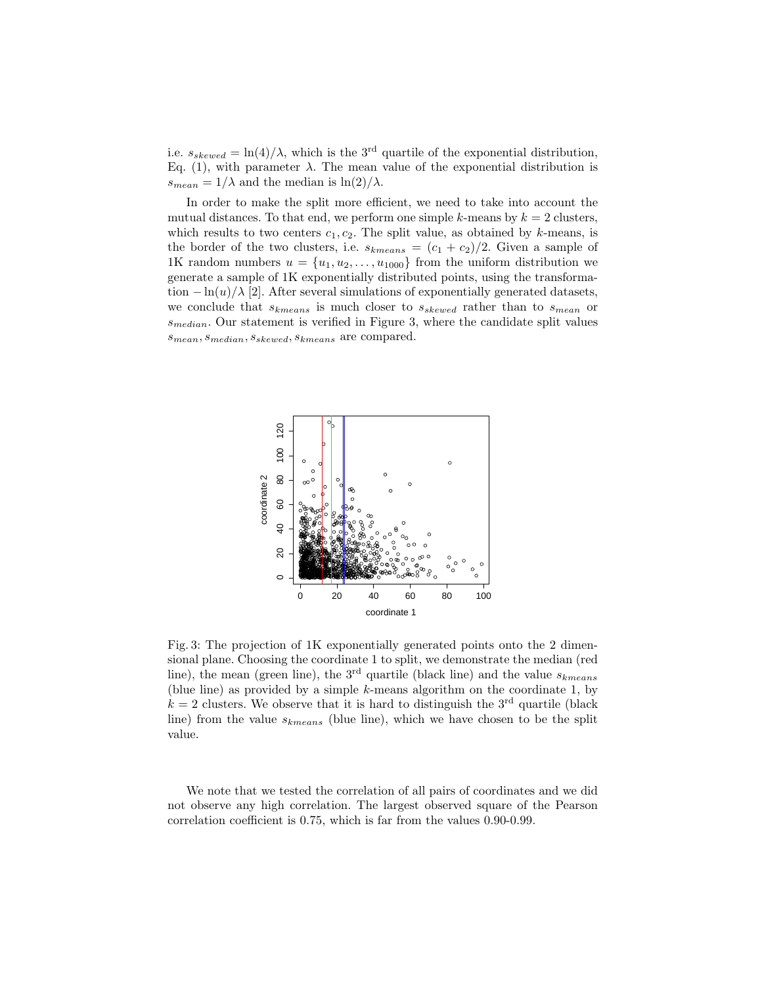i.e.  $s_{skewed} = \ln(4)/\lambda$ , which is the 3<sup>rd</sup> quartile of the exponential distribution, Eq. (1), with parameter  $\lambda$ . The mean value of the exponential distribution is  $s_{mean} = 1/\lambda$  and the median is  $\ln(2)/\lambda$ .

In order to make the split more efficient, we need to take into account the mutual distances. To that end, we perform one simple k-means by  $k = 2$  clusters, which results to two centers  $c_1, c_2$ . The split value, as obtained by k-means, is the border of the two clusters, i.e.  $s_{kmeans} = (c_1 + c_2)/2$ . Given a sample of 1K random numbers  $u = \{u_1, u_2, \ldots, u_{1000}\}$  from the uniform distribution we generate a sample of 1K exponentially distributed points, using the transformation  $-\ln(u)/\lambda$  [2]. After several simulations of exponentially generated datasets, we conclude that  $s_{kmeans}$  is much closer to  $s_{skewed}$  rather than to  $s_{mean}$  or  $s_{median}$ . Our statement is verified in Figure 3, where the candidate split values  $s_{mean}, s_{median}, s_{skewed}, s_{kmeans}$  are compared.



Fig. 3: The projection of 1K exponentially generated points onto the 2 dimensional plane. Choosing the coordinate 1 to split, we demonstrate the median (red line), the mean (green line), the  $3<sup>rd</sup>$  quartile (black line) and the value  $s_{kmeans}$ (blue line) as provided by a simple  $k$ -means algorithm on the coordinate 1, by  $k = 2$  clusters. We observe that it is hard to distinguish the 3<sup>rd</sup> quartile (black line) from the value  $s_{kmeans}$  (blue line), which we have chosen to be the split value.

We note that we tested the correlation of all pairs of coordinates and we did not observe any high correlation. The largest observed square of the Pearson correlation coefficient is 0.75, which is far from the values 0.90-0.99.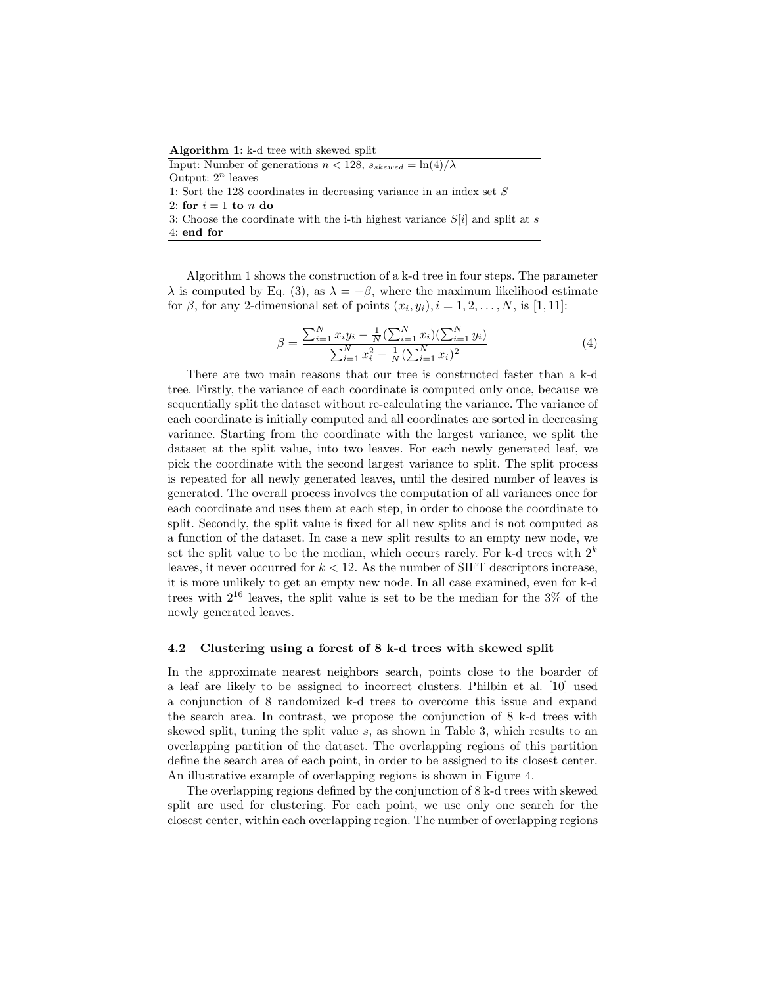Algorithm 1: k-d tree with skewed split Input: Number of generations  $n < 128$ ,  $s_{skewed} = \ln(4)/\lambda$ Output:  $2^n$  leaves 1: Sort the 128 coordinates in decreasing variance in an index set  ${\cal S}$ 2: for  $i = 1$  to n do 3: Choose the coordinate with the i-th highest variance  $S[i]$  and split at s 4: end for

Algorithm 1 shows the construction of a k-d tree in four steps. The parameter  $\lambda$  is computed by Eq. (3), as  $\lambda = -\beta$ , where the maximum likelihood estimate for  $\beta$ , for any 2-dimensional set of points  $(x_i, y_i)$ ,  $i = 1, 2, ..., N$ , is [1, 11]:

$$
\beta = \frac{\sum_{i=1}^{N} x_i y_i - \frac{1}{N} (\sum_{i=1}^{N} x_i) (\sum_{i=1}^{N} y_i)}{\sum_{i=1}^{N} x_i^2 - \frac{1}{N} (\sum_{i=1}^{N} x_i)^2}
$$
(4)

There are two main reasons that our tree is constructed faster than a k-d tree. Firstly, the variance of each coordinate is computed only once, because we sequentially split the dataset without re-calculating the variance. The variance of each coordinate is initially computed and all coordinates are sorted in decreasing variance. Starting from the coordinate with the largest variance, we split the dataset at the split value, into two leaves. For each newly generated leaf, we pick the coordinate with the second largest variance to split. The split process is repeated for all newly generated leaves, until the desired number of leaves is generated. The overall process involves the computation of all variances once for each coordinate and uses them at each step, in order to choose the coordinate to split. Secondly, the split value is fixed for all new splits and is not computed as a function of the dataset. In case a new split results to an empty new node, we set the split value to be the median, which occurs rarely. For k-d trees with  $2^k$ leaves, it never occurred for  $k < 12$ . As the number of SIFT descriptors increase, it is more unlikely to get an empty new node. In all case examined, even for k-d trees with  $2^{16}$  leaves, the split value is set to be the median for the  $3\%$  of the newly generated leaves.

#### 4.2 Clustering using a forest of 8 k-d trees with skewed split

In the approximate nearest neighbors search, points close to the boarder of a leaf are likely to be assigned to incorrect clusters. Philbin et al. [10] used a conjunction of 8 randomized k-d trees to overcome this issue and expand the search area. In contrast, we propose the conjunction of 8 k-d trees with skewed split, tuning the split value s, as shown in Table 3, which results to an overlapping partition of the dataset. The overlapping regions of this partition define the search area of each point, in order to be assigned to its closest center. An illustrative example of overlapping regions is shown in Figure 4.

The overlapping regions defined by the conjunction of 8 k-d trees with skewed split are used for clustering. For each point, we use only one search for the closest center, within each overlapping region. The number of overlapping regions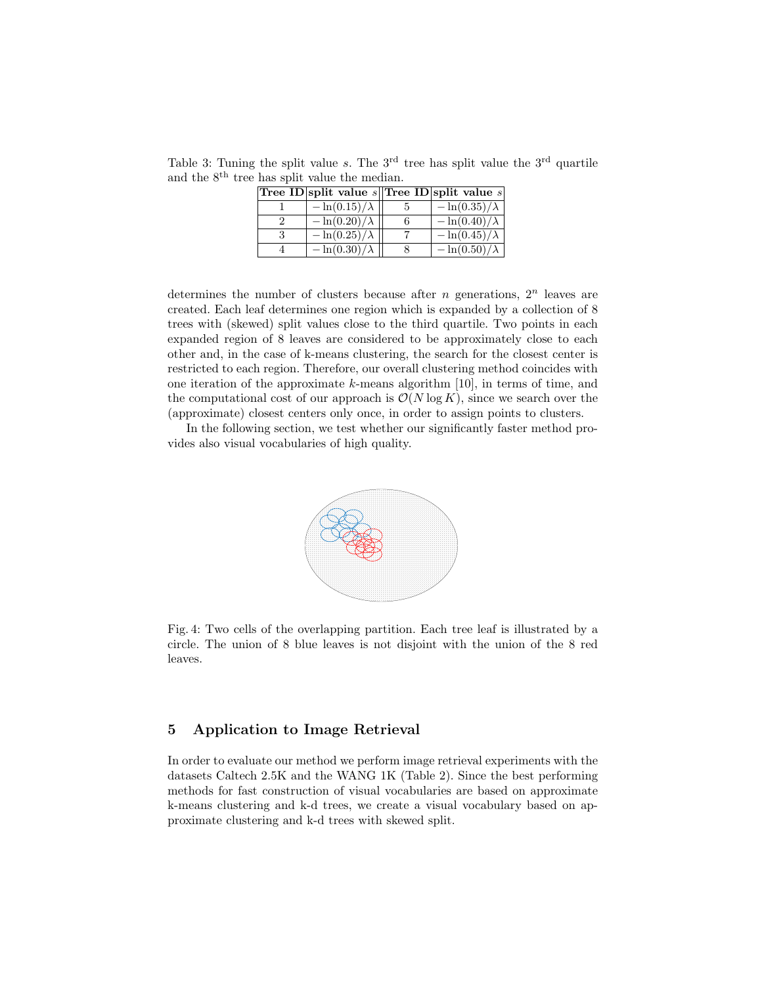Table 3: Tuning the split value s. The  $3<sup>rd</sup>$  tree has split value the  $3<sup>rd</sup>$  quartile and the 8th tree has split value the median.

| Tree ID split value s Tree ID split value s |   |                      |
|---------------------------------------------|---|----------------------|
| $-\ln(0.15)/\lambda$                        | 5 | $-\ln(0.35)/\lambda$ |
| $-\ln(0.20)/\lambda$                        |   | $-\ln(0.40)/\lambda$ |
| $-\ln(0.25)/\lambda$                        |   | $-\ln(0.45)/\lambda$ |
| $-\ln(0.30)/\lambda$                        |   | $-\ln(0.50)/\lambda$ |

determines the number of clusters because after  $n$  generations,  $2^n$  leaves are created. Each leaf determines one region which is expanded by a collection of 8 trees with (skewed) split values close to the third quartile. Two points in each expanded region of 8 leaves are considered to be approximately close to each other and, in the case of k-means clustering, the search for the closest center is restricted to each region. Therefore, our overall clustering method coincides with one iteration of the approximate k-means algorithm [10], in terms of time, and the computational cost of our approach is  $\mathcal{O}(N \log K)$ , since we search over the (approximate) closest centers only once, in order to assign points to clusters.

In the following section, we test whether our significantly faster method provides also visual vocabularies of high quality.



Fig. 4: Two cells of the overlapping partition. Each tree leaf is illustrated by a circle. The union of 8 blue leaves is not disjoint with the union of the 8 red leaves.

### 5 Application to Image Retrieval

In order to evaluate our method we perform image retrieval experiments with the datasets Caltech 2.5K and the WANG 1K (Table 2). Since the best performing methods for fast construction of visual vocabularies are based on approximate k-means clustering and k-d trees, we create a visual vocabulary based on approximate clustering and k-d trees with skewed split.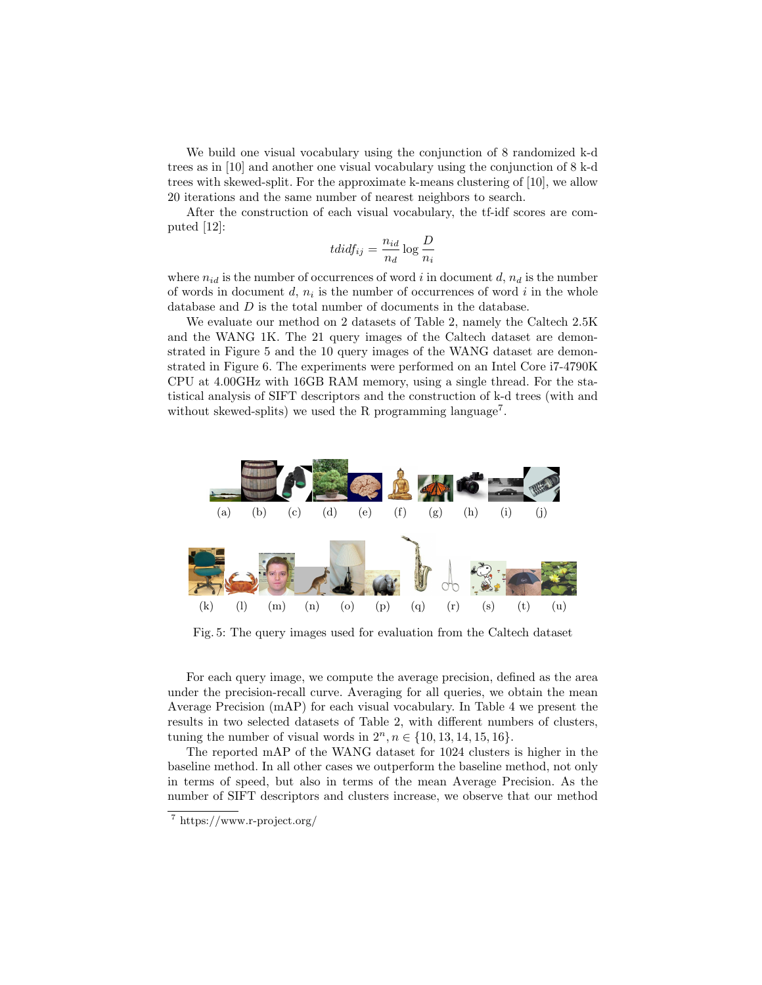We build one visual vocabulary using the conjunction of 8 randomized k-d trees as in [10] and another one visual vocabulary using the conjunction of 8 k-d trees with skewed-split. For the approximate k-means clustering of [10], we allow 20 iterations and the same number of nearest neighbors to search.

After the construction of each visual vocabulary, the tf-idf scores are computed [12]:

$$
t\ddot{a}df_{ij} = \frac{n_{id}}{n_d} \log \frac{D}{n_i}
$$

where  $n_{id}$  is the number of occurrences of word i in document d,  $n_d$  is the number of words in document  $d, n_i$  is the number of occurrences of word i in the whole database and  $D$  is the total number of documents in the database.

We evaluate our method on 2 datasets of Table 2, namely the Caltech 2.5K and the WANG 1K. The 21 query images of the Caltech dataset are demonstrated in Figure 5 and the 10 query images of the WANG dataset are demonstrated in Figure 6. The experiments were performed on an Intel Core i7-4790K CPU at 4.00GHz with 16GB RAM memory, using a single thread. For the statistical analysis of SIFT descriptors and the construction of k-d trees (with and without skewed-splits) we used the R programming language<sup>7</sup>.



Fig. 5: The query images used for evaluation from the Caltech dataset

For each query image, we compute the average precision, defined as the area under the precision-recall curve. Averaging for all queries, we obtain the mean Average Precision (mAP) for each visual vocabulary. In Table 4 we present the results in two selected datasets of Table 2, with different numbers of clusters, tuning the number of visual words in  $2^n, n \in \{10, 13, 14, 15, 16\}.$ 

The reported mAP of the WANG dataset for 1024 clusters is higher in the baseline method. In all other cases we outperform the baseline method, not only in terms of speed, but also in terms of the mean Average Precision. As the number of SIFT descriptors and clusters increase, we observe that our method

<sup>7</sup> https://www.r-project.org/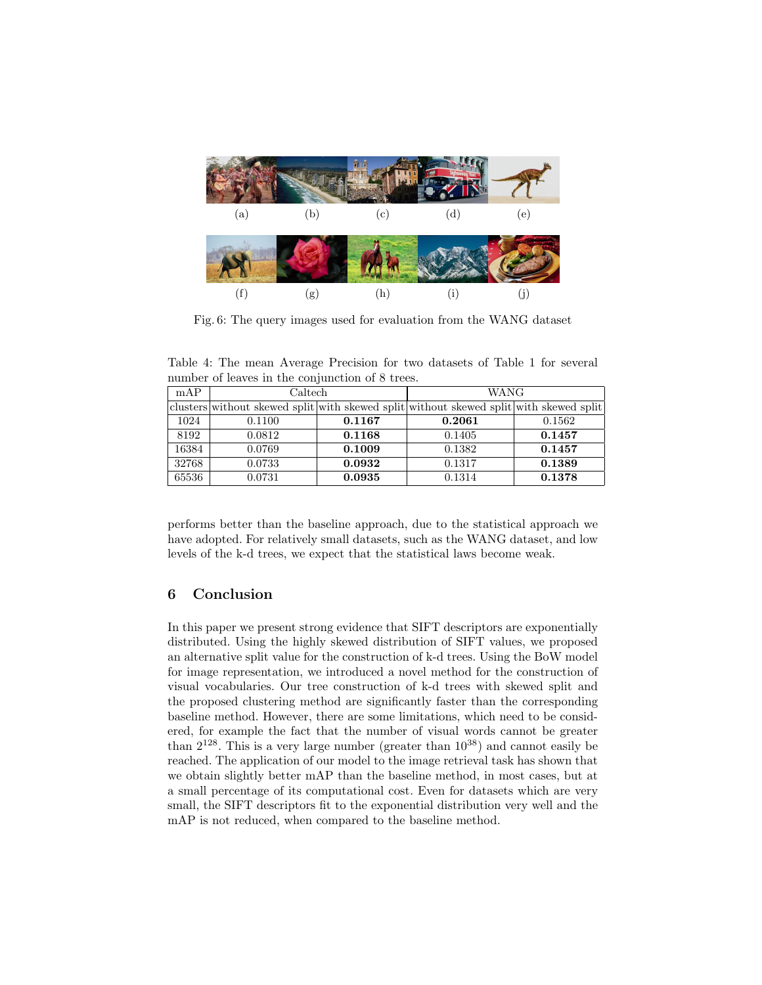

Fig. 6: The query images used for evaluation from the WANG dataset

Table 4: The mean Average Precision for two datasets of Table 1 for several number of leaves in the conjunction of 8 trees.

| mAP   | Caltech |        | WANG                                                                                   |        |
|-------|---------|--------|----------------------------------------------------------------------------------------|--------|
|       |         |        | clusters without skewed split with skewed split without skewed split with skewed split |        |
| 1024  | 0.1100  | 0.1167 | 0.2061                                                                                 | 0.1562 |
| 8192  | 0.0812  | 0.1168 | 0.1405                                                                                 | 0.1457 |
| 16384 | 0.0769  | 0.1009 | 0.1382                                                                                 | 0.1457 |
| 32768 | 0.0733  | 0.0932 | 0.1317                                                                                 | 0.1389 |
| 65536 | 0.0731  | 0.0935 | 0.1314                                                                                 | 0.1378 |

performs better than the baseline approach, due to the statistical approach we have adopted. For relatively small datasets, such as the WANG dataset, and low levels of the k-d trees, we expect that the statistical laws become weak.

# 6 Conclusion

In this paper we present strong evidence that SIFT descriptors are exponentially distributed. Using the highly skewed distribution of SIFT values, we proposed an alternative split value for the construction of k-d trees. Using the BoW model for image representation, we introduced a novel method for the construction of visual vocabularies. Our tree construction of k-d trees with skewed split and the proposed clustering method are significantly faster than the corresponding baseline method. However, there are some limitations, which need to be considered, for example the fact that the number of visual words cannot be greater than  $2^{128}$ . This is a very large number (greater than  $10^{38}$ ) and cannot easily be reached. The application of our model to the image retrieval task has shown that we obtain slightly better mAP than the baseline method, in most cases, but at a small percentage of its computational cost. Even for datasets which are very small, the SIFT descriptors fit to the exponential distribution very well and the mAP is not reduced, when compared to the baseline method.